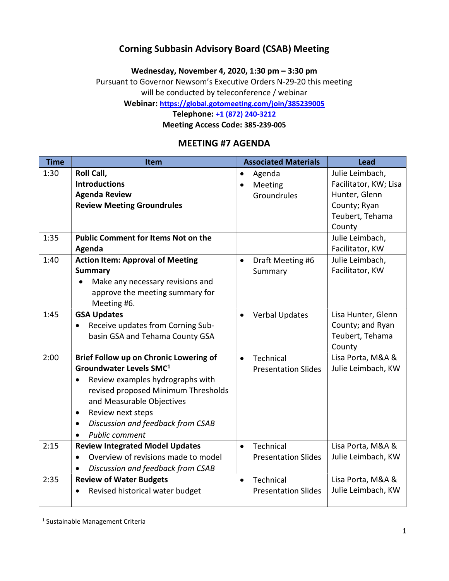### Corning Subbasin Advisory Board (CSAB) Meeting

Wednesday, November 4, 2020, 1:30 pm – 3:30 pm

Pursuant to Governor Newsom's Executive Orders N-29-20 this meeting will be conducted by teleconference / webinar

Webinar: https://global.gotomeeting.com/join/385239005

Telephone: +1 (872) 240-3212

Meeting Access Code: 385-239-005

#### MEETING #7 AGENDA

| <b>Time</b> | Item                                                                                                                                                                                                                                                                                                                         | <b>Associated Materials</b><br><b>Lead</b>                                                                                                              |
|-------------|------------------------------------------------------------------------------------------------------------------------------------------------------------------------------------------------------------------------------------------------------------------------------------------------------------------------------|---------------------------------------------------------------------------------------------------------------------------------------------------------|
| 1:30        | Roll Call,<br><b>Introductions</b><br><b>Agenda Review</b><br><b>Review Meeting Groundrules</b>                                                                                                                                                                                                                              | Julie Leimbach,<br>Agenda<br>$\bullet$<br>Facilitator, KW; Lisa<br>Meeting<br>Hunter, Glenn<br>Groundrules<br>County; Ryan<br>Teubert, Tehama<br>County |
| 1:35        | <b>Public Comment for Items Not on the</b><br>Agenda                                                                                                                                                                                                                                                                         | Julie Leimbach,<br>Facilitator, KW                                                                                                                      |
| 1:40        | <b>Action Item: Approval of Meeting</b><br><b>Summary</b><br>Make any necessary revisions and<br>approve the meeting summary for<br>Meeting #6.                                                                                                                                                                              | Julie Leimbach,<br>Draft Meeting #6<br>$\bullet$<br>Facilitator, KW<br>Summary                                                                          |
| 1:45        | <b>GSA Updates</b><br>Receive updates from Corning Sub-<br>$\bullet$<br>basin GSA and Tehama County GSA                                                                                                                                                                                                                      | Lisa Hunter, Glenn<br><b>Verbal Updates</b><br>County; and Ryan<br>Teubert, Tehama<br>County                                                            |
| 2:00        | Brief Follow up on Chronic Lowering of<br>Groundwater Levels SMC <sup>1</sup><br>Review examples hydrographs with<br>$\bullet$<br>revised proposed Minimum Thresholds<br>and Measurable Objectives<br>Review next steps<br>$\bullet$<br>Discussion and feedback from CSAB<br>$\bullet$<br><b>Public comment</b><br>$\bullet$ | Technical<br>Lisa Porta, M&A &<br>$\bullet$<br>Julie Leimbach, KW<br><b>Presentation Slides</b>                                                         |
| 2:15        | <b>Review Integrated Model Updates</b><br>Overview of revisions made to model<br>Discussion and feedback from CSAB                                                                                                                                                                                                           | Lisa Porta, M&A &<br>Technical<br>$\bullet$<br>Julie Leimbach, KW<br><b>Presentation Slides</b>                                                         |
| 2:35        | <b>Review of Water Budgets</b><br>Revised historical water budget                                                                                                                                                                                                                                                            | Lisa Porta, M&A &<br>Technical<br>$\bullet$<br>Julie Leimbach, KW<br><b>Presentation Slides</b>                                                         |

<sup>1</sup> Sustainable Management Criteria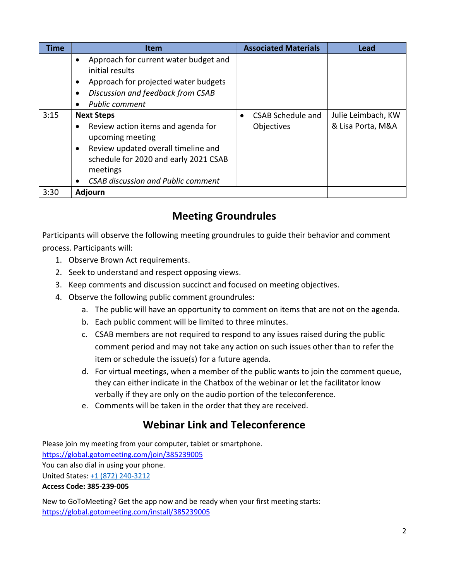| <b>Time</b> | <b>Item</b>                                                                                                                                                                                                                                    | <b>Associated Materials</b>            | Lead                                    |
|-------------|------------------------------------------------------------------------------------------------------------------------------------------------------------------------------------------------------------------------------------------------|----------------------------------------|-----------------------------------------|
|             | Approach for current water budget and<br>$\bullet$<br>initial results<br>Approach for projected water budgets<br>$\bullet$<br>Discussion and feedback from CSAB<br>$\bullet$<br><b>Public comment</b>                                          |                                        |                                         |
| 3:15        | <b>Next Steps</b><br>Review action items and agenda for<br>$\bullet$<br>upcoming meeting<br>Review updated overall timeline and<br>$\bullet$<br>schedule for 2020 and early 2021 CSAB<br>meetings<br><b>CSAB discussion and Public comment</b> | <b>CSAB Schedule and</b><br>Objectives | Julie Leimbach, KW<br>& Lisa Porta, M&A |
| 3:30        | <b>Adjourn</b>                                                                                                                                                                                                                                 |                                        |                                         |

# Meeting Groundrules

Participants will observe the following meeting groundrules to guide their behavior and comment process. Participants will:

- 1. Observe Brown Act requirements.
- 2. Seek to understand and respect opposing views.
- 3. Keep comments and discussion succinct and focused on meeting objectives.
- 4. Observe the following public comment groundrules:
	- a. The public will have an opportunity to comment on items that are not on the agenda.
	- b. Each public comment will be limited to three minutes.
	- c. CSAB members are not required to respond to any issues raised during the public comment period and may not take any action on such issues other than to refer the item or schedule the issue(s) for a future agenda.
	- d. For virtual meetings, when a member of the public wants to join the comment queue, they can either indicate in the Chatbox of the webinar or let the facilitator know verbally if they are only on the audio portion of the teleconference.
	- e. Comments will be taken in the order that they are received.

## Webinar Link and Teleconference

Please join my meeting from your computer, tablet or smartphone. https://global.gotomeeting.com/join/385239005 You can also dial in using your phone. United States: +1 (872) 240-3212

Access Code: 385-239-005

New to GoToMeeting? Get the app now and be ready when your first meeting starts: https://global.gotomeeting.com/install/385239005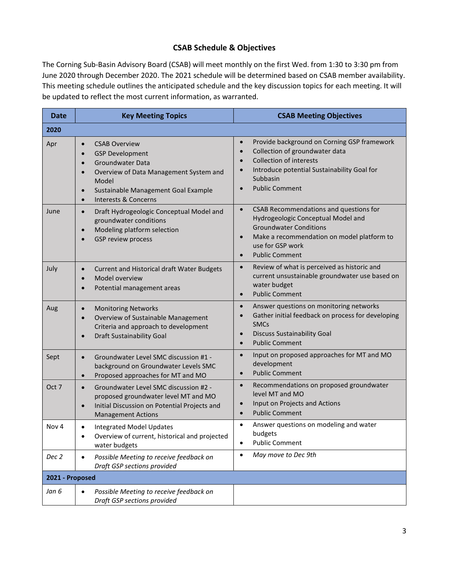#### CSAB Schedule & Objectives

The Corning Sub-Basin Advisory Board (CSAB) will meet monthly on the first Wed. from 1:30 to 3:30 pm from June 2020 through December 2020. The 2021 schedule will be determined based on CSAB member availability. This meeting schedule outlines the anticipated schedule and the key discussion topics for each meeting. It will be updated to reflect the most current information, as warranted.

| <b>Date</b>      | <b>Key Meeting Topics</b>                                                                                                                                                                                                                                                            | <b>CSAB Meeting Objectives</b>                                                                                                                                                                                                                  |  |
|------------------|--------------------------------------------------------------------------------------------------------------------------------------------------------------------------------------------------------------------------------------------------------------------------------------|-------------------------------------------------------------------------------------------------------------------------------------------------------------------------------------------------------------------------------------------------|--|
| 2020             |                                                                                                                                                                                                                                                                                      |                                                                                                                                                                                                                                                 |  |
| Apr              | <b>CSAB Overview</b><br>$\bullet$<br><b>GSP Development</b><br>$\bullet$<br><b>Groundwater Data</b><br>$\bullet$<br>Overview of Data Management System and<br>$\bullet$<br>Model<br>Sustainable Management Goal Example<br>$\bullet$<br><b>Interests &amp; Concerns</b><br>$\bullet$ | Provide background on Corning GSP framework<br>$\bullet$<br>Collection of groundwater data<br><b>Collection of interests</b><br>Introduce potential Sustainability Goal for<br>$\bullet$<br>Subbasin<br><b>Public Comment</b><br>$\bullet$      |  |
| June             | Draft Hydrogeologic Conceptual Model and<br>$\bullet$<br>groundwater conditions<br>Modeling platform selection<br>$\bullet$<br>GSP review process<br>$\bullet$                                                                                                                       | CSAB Recommendations and questions for<br>$\bullet$<br>Hydrogeologic Conceptual Model and<br><b>Groundwater Conditions</b><br>Make a recommendation on model platform to<br>$\bullet$<br>use for GSP work<br><b>Public Comment</b><br>$\bullet$ |  |
| July             | Current and Historical draft Water Budgets<br>$\bullet$<br>Model overview<br>$\bullet$<br>Potential management areas<br>$\bullet$                                                                                                                                                    | Review of what is perceived as historic and<br>$\bullet$<br>current unsustainable groundwater use based on<br>water budget<br><b>Public Comment</b><br>$\bullet$                                                                                |  |
| Aug              | <b>Monitoring Networks</b><br>$\bullet$<br>Overview of Sustainable Management<br>$\bullet$<br>Criteria and approach to development<br><b>Draft Sustainability Goal</b><br>$\bullet$                                                                                                  | Answer questions on monitoring networks<br>$\bullet$<br>Gather initial feedback on process for developing<br><b>SMCs</b><br><b>Discuss Sustainability Goal</b><br>$\bullet$<br><b>Public Comment</b><br>$\bullet$                               |  |
| Sept             | Groundwater Level SMC discussion #1 -<br>$\bullet$<br>background on Groundwater Levels SMC<br>Proposed approaches for MT and MO<br>$\bullet$                                                                                                                                         | Input on proposed approaches for MT and MO<br>$\bullet$<br>development<br><b>Public Comment</b><br>$\bullet$                                                                                                                                    |  |
| Oct 7            | Groundwater Level SMC discussion #2 -<br>$\bullet$<br>proposed groundwater level MT and MO<br>Initial Discussion on Potential Projects and<br>$\bullet$<br><b>Management Actions</b>                                                                                                 | Recommendations on proposed groundwater<br>$\bullet$<br>level MT and MO<br>Input on Projects and Actions<br>$\bullet$<br><b>Public Comment</b><br>$\bullet$                                                                                     |  |
| Nov <sub>4</sub> | <b>Integrated Model Updates</b><br>$\bullet$<br>Overview of current, historical and projected<br>water budgets                                                                                                                                                                       | Answer questions on modeling and water<br>$\bullet$<br>budgets<br><b>Public Comment</b><br>٠                                                                                                                                                    |  |
| Dec 2            | Possible Meeting to receive feedback on<br>$\bullet$<br>Draft GSP sections provided                                                                                                                                                                                                  | May move to Dec 9th                                                                                                                                                                                                                             |  |
| 2021 - Proposed  |                                                                                                                                                                                                                                                                                      |                                                                                                                                                                                                                                                 |  |
| Jan 6            | Possible Meeting to receive feedback on<br>$\bullet$<br>Draft GSP sections provided                                                                                                                                                                                                  |                                                                                                                                                                                                                                                 |  |